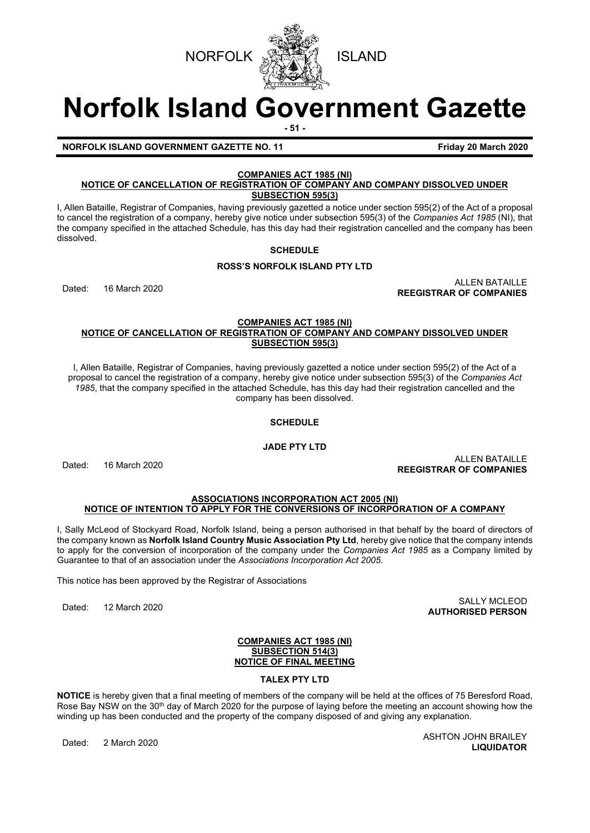

# **Norfolk Island Government Gazette**

**- 51 -**

#### **NORFOLK ISLAND GOVERNMENT GAZETTE NO. 11 Friday 20 March 2020**

# **COMPANIES ACT 1985 (NI)**

#### **NOTICE OF CANCELLATION OF REGISTRATION OF COMPANY AND COMPANY DISSOLVED UNDER SUBSECTION 595(3)**

I, Allen Bataille, Registrar of Companies, having previously gazetted a notice under section 595(2) of the Act of a proposal to cancel the registration of a company, hereby give notice under subsection 595(3) of the *Companies Act 1985* (NI), that the company specified in the attached Schedule, has this day had their registration cancelled and the company has been dissolved.

# **SCHEDULE**

# **ROSS'S NORFOLK ISLAND PTY LTD**

Dated: 16 March 2020 ALLEN BATAILLE **REEGISTRAR OF COMPANIES**

#### **COMPANIES ACT 1985 (NI) NOTICE OF CANCELLATION OF REGISTRATION OF COMPANY AND COMPANY DISSOLVED UNDER SUBSECTION 595(3)**

I, Allen Bataille, Registrar of Companies, having previously gazetted a notice under section 595(2) of the Act of a proposal to cancel the registration of a company, hereby give notice under subsection 595(3) of the *Companies Act 1985*, that the company specified in the attached Schedule, has this day had their registration cancelled and the company has been dissolved.

# **SCHEDULE**

**JADE PTY LTD**

Dated: 16 March 2020 ALLEN BATAILLE **REEGISTRAR OF COMPANIES**

#### **ASSOCIATIONS INCORPORATION ACT 2005 (NI) NOTICE OF INTENTION TO APPLY FOR THE CONVERSIONS OF INCORPORATION OF A COMPANY**

I, Sally McLeod of Stockyard Road, Norfolk Island, being a person authorised in that behalf by the board of directors of the company known as **Norfolk Island Country Music Association Pty Ltd**, hereby give notice that the company intends to apply for the conversion of incorporation of the company under the *Companies Act 1985* as a Company limited by Guarantee to that of an association under the *Associations Incorporation Act 2005*.

This notice has been approved by the Registrar of Associations

Dated: 12 March 2020 SALLY MCLEOD **AUTHORISED PERSON**

#### **COMPANIES ACT 1985 (NI) SUBSECTION 514(3) NOTICE OF FINAL MEETING**

# **TALEX PTY LTD**

**NOTICE** is hereby given that a final meeting of members of the company will be held at the offices of 75 Beresford Road, Rose Bay NSW on the 30<sup>th</sup> day of March 2020 for the purpose of laying before the meeting an account showing how the winding up has been conducted and the property of the company disposed of and giving any explanation.

Dated: 2 March 2020 ASHTON JOHN BRAILEY **LIQUIDATOR**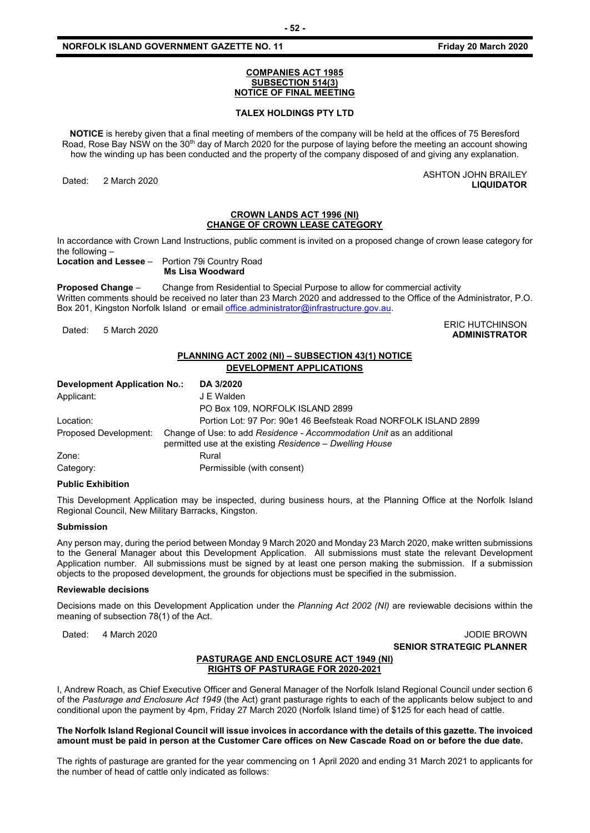#### **COMPANIES ACT 1985 SUBSECTION 514(3) NOTICE OF FINAL MEETING**

#### **TALEX HOLDINGS PTY LTD**

**NOTICE** is hereby given that a final meeting of members of the company will be held at the offices of 75 Beresford Road, Rose Bay NSW on the 30<sup>th</sup> day of March 2020 for the purpose of laying before the meeting an account showing how the winding up has been conducted and the property of the company disposed of and giving any explanation.

Dated: 2 March 2020<br>
Dated: 2 March 2020

#### **CROWN LANDS ACT 1996 (NI) CHANGE OF CROWN LEASE CATEGORY**

In accordance with Crown Land Instructions, public comment is invited on a proposed change of crown lease category for the following –

**Location and Lessee** – Portion 79i Country Road

**Ms Lisa Woodward**

**Proposed Change** – Change from Residential to Special Purpose to allow for commercial activity Written comments should be received no later than 23 March 2020 and addressed to the Office of the Administrator, P.O. Box 201, Kingston Norfolk Island or emai[l office.administrator@infrastructure.gov.au.](mailto:office.administrator@infrastructure.gov.au)

ERIC HUTCHINSON يستعد المستقلة المستقلة المستقلة التي تستعد المستقلة المستقلة التي تستعد المستقلة التي تستعد ا<br>Anninistrator **ADMINISTRATOR**

**LIQUIDATOR**

# **PLANNING ACT 2002 (NI) – SUBSECTION 43(1) NOTICE DEVELOPMENT APPLICATIONS**

| <b>Development Application No.:</b> | DA 3/2020                                                                                                                         |
|-------------------------------------|-----------------------------------------------------------------------------------------------------------------------------------|
| Applicant:                          | J E Walden                                                                                                                        |
|                                     | PO Box 109, NORFOLK ISLAND 2899                                                                                                   |
| Location:                           | Portion Lot: 97 Por: 90e1 46 Beefsteak Road NORFOLK ISLAND 2899                                                                   |
| Proposed Development:               | Change of Use: to add Residence - Accommodation Unit as an additional<br>permitted use at the existing Residence - Dwelling House |
| Zone:                               | Rural                                                                                                                             |
| Category:                           | Permissible (with consent)                                                                                                        |

#### **Public Exhibition**

This Development Application may be inspected, during business hours, at the Planning Office at the Norfolk Island Regional Council, New Military Barracks, Kingston.

#### **Submission**

Any person may, during the period between Monday 9 March 2020 and Monday 23 March 2020, make written submissions to the General Manager about this Development Application. All submissions must state the relevant Development Application number. All submissions must be signed by at least one person making the submission. If a submission objects to the proposed development, the grounds for objections must be specified in the submission.

#### **Reviewable decisions**

Decisions made on this Development Application under the *Planning Act 2002 (NI)* are reviewable decisions within the meaning of subsection 78(1) of the Act.

Dated: 4 March 2020 JODIE BROWN **SENIOR STRATEGIC PLANNER** 

#### **PASTURAGE AND ENCLOSURE ACT 1949 (NI) RIGHTS OF PASTURAGE FOR 2020-2021**

I, Andrew Roach, as Chief Executive Officer and General Manager of the Norfolk Island Regional Council under section 6 of the *Pasturage and Enclosure Act 1949* (the Act) grant pasturage rights to each of the applicants below subject to and conditional upon the payment by 4pm, Friday 27 March 2020 (Norfolk Island time) of \$125 for each head of cattle.

#### **The Norfolk Island Regional Council will issue invoices in accordance with the details of this gazette. The invoiced amount must be paid in person at the Customer Care offices on New Cascade Road on or before the due date.**

The rights of pasturage are granted for the year commencing on 1 April 2020 and ending 31 March 2021 to applicants for the number of head of cattle only indicated as follows: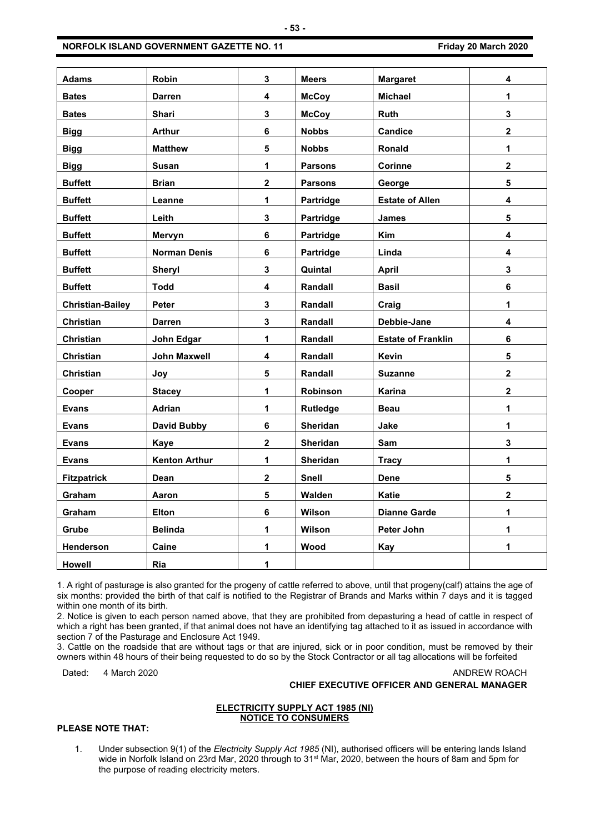| <b>Adams</b>            | Robin                | 3                       | <b>Meers</b>   | <b>Margaret</b>           | 4                       |
|-------------------------|----------------------|-------------------------|----------------|---------------------------|-------------------------|
| <b>Bates</b>            | <b>Darren</b>        | 4                       | <b>McCoy</b>   | <b>Michael</b>            | 1                       |
| <b>Bates</b>            | Shari                | 3                       | <b>McCoy</b>   | Ruth                      | $\mathbf{3}$            |
| <b>Bigg</b>             | <b>Arthur</b>        | 6                       | <b>Nobbs</b>   | <b>Candice</b>            | $\overline{2}$          |
| <b>Bigg</b>             | <b>Matthew</b>       | 5                       | <b>Nobbs</b>   | <b>Ronald</b>             | $\mathbf 1$             |
| <b>Bigg</b>             | <b>Susan</b>         | 1                       | <b>Parsons</b> | Corinne                   | $\overline{\mathbf{2}}$ |
| <b>Buffett</b>          | <b>Brian</b>         | $\overline{\mathbf{2}}$ | <b>Parsons</b> | George                    | $5\phantom{a}$          |
| <b>Buffett</b>          | Leanne               | 1                       | Partridge      | <b>Estate of Allen</b>    | 4                       |
| <b>Buffett</b>          | Leith                | 3                       | Partridge      | <b>James</b>              | 5                       |
| <b>Buffett</b>          | Mervyn               | 6                       | Partridge      | Kim                       | 4                       |
| <b>Buffett</b>          | <b>Norman Denis</b>  | 6                       | Partridge      | Linda                     | 4                       |
| <b>Buffett</b>          | Sheryl               | 3                       | Quintal        | <b>April</b>              | $\mathbf{3}$            |
| <b>Buffett</b>          | <b>Todd</b>          | 4                       | Randall        | <b>Basil</b>              | $\bf 6$                 |
| <b>Christian-Bailey</b> | Peter                | 3                       | Randall        | Craig                     | $\mathbf 1$             |
| Christian               | Darren               | 3                       | Randall        | Debbie-Jane               | 4                       |
| <b>Christian</b>        | John Edgar           | 1                       | Randall        | <b>Estate of Franklin</b> | 6                       |
| Christian               | John Maxwell         | 4                       | Randall        | Kevin                     | 5                       |
| Christian               | Joy                  | 5                       | Randall        | <b>Suzanne</b>            | $\overline{\mathbf{2}}$ |
| Cooper                  | <b>Stacey</b>        | 1                       | Robinson       | Karina                    | $\overline{\mathbf{2}}$ |
| <b>Evans</b>            | Adrian               | 1                       | Rutledge       | <b>Beau</b>               | 1                       |
| Evans                   | <b>David Bubby</b>   | 6                       | Sheridan       | Jake                      | $\mathbf 1$             |
| <b>Evans</b>            | <b>Kaye</b>          | $\overline{\mathbf{2}}$ | Sheridan       | <b>Sam</b>                | 3                       |
| <b>Evans</b>            | <b>Kenton Arthur</b> | $\mathbf{1}$            | Sheridan       | <b>Tracy</b>              | 1                       |
| <b>Fitzpatrick</b>      | Dean                 | $\mathbf 2$             | Snell          | Dene                      | $\overline{\mathbf{5}}$ |
| <b>Graham</b>           | Aaron                | 5                       | Walden         | <b>Katie</b>              | $\overline{2}$          |
| Graham                  | <b>Elton</b>         | 6                       | Wilson         | <b>Dianne Garde</b>       | 1                       |
| Grube                   | <b>Belinda</b>       | 1                       | Wilson         | Peter John                | 1                       |
| Henderson               | Caine                | 1                       | Wood           | <b>Kay</b>                | 1                       |
| <b>Howell</b>           | Ria                  | 1                       |                |                           |                         |

1. A right of pasturage is also granted for the progeny of cattle referred to above, until that progeny(calf) attains the age of six months: provided the birth of that calf is notified to the Registrar of Brands and Marks within 7 days and it is tagged within one month of its birth.

2. Notice is given to each person named above, that they are prohibited from depasturing a head of cattle in respect of which a right has been granted, if that animal does not have an identifying tag attached to it as issued in accordance with section 7 of the Pasturage and Enclosure Act 1949.

3. Cattle on the roadside that are without tags or that are injured, sick or in poor condition, must be removed by their owners within 48 hours of their being requested to do so by the Stock Contractor or all tag allocations will be forfeited

Dated: 4 March 2020 **ANDREW ROACH CHIEF EXECUTIVE OFFICER AND GENERAL MANAGER**

#### **ELECTRICITY SUPPLY ACT 1985 (NI) NOTICE TO CONSUMERS**

# **PLEASE NOTE THAT:**

1. Under subsection 9(1) of the *Electricity Supply Act 1985* (NI), authorised officers will be entering lands Island wide in Norfolk Island on 23rd Mar, 2020 through to 31<sup>st</sup> Mar, 2020, between the hours of 8am and 5pm for the purpose of reading electricity meters.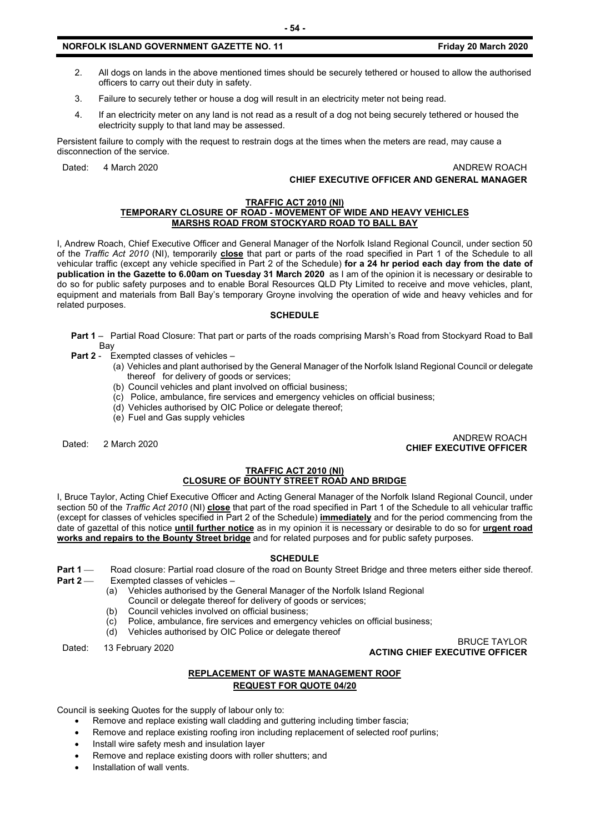### **NORFOLK ISLAND GOVERNMENT GAZETTE NO. 11 Friday 20 March 2020**

- 2. All dogs on lands in the above mentioned times should be securely tethered or housed to allow the authorised officers to carry out their duty in safety.
- 3. Failure to securely tether or house a dog will result in an electricity meter not being read.
- 4. If an electricity meter on any land is not read as a result of a dog not being securely tethered or housed the electricity supply to that land may be assessed.

Persistent failure to comply with the request to restrain dogs at the times when the meters are read, may cause a disconnection of the service.

Dated: 4 March 2020 ANDREW ROACH

# **CHIEF EXECUTIVE OFFICER AND GENERAL MANAGER**

#### **TRAFFIC ACT 2010 (NI) TEMPORARY CLOSURE OF ROAD - MOVEMENT OF WIDE AND HEAVY VEHICLES MARSHS ROAD FROM STOCKYARD ROAD TO BALL BAY**

I, Andrew Roach, Chief Executive Officer and General Manager of the Norfolk Island Regional Council, under section 50 of the *Traffic Act 2010* (NI), temporarily **close** that part or parts of the road specified in Part 1 of the Schedule to all vehicular traffic (except any vehicle specified in Part 2 of the Schedule) **for a 24 hr period each day from the date of publication in the Gazette to 6.00am on Tuesday 31 March 2020** as I am of the opinion it is necessary or desirable to do so for public safety purposes and to enable Boral Resources QLD Pty Limited to receive and move vehicles, plant, equipment and materials from Ball Bay's temporary Groyne involving the operation of wide and heavy vehicles and for related purposes.

#### **SCHEDULE**

**Part 1** – Partial Road Closure: That part or parts of the roads comprising Marsh's Road from Stockyard Road to Ball Bay

- **Part 2** Exempted classes of vehicles
	- (a) Vehicles and plant authorised by the General Manager of the Norfolk Island Regional Council or delegate thereof for delivery of goods or services;
	- (b) Council vehicles and plant involved on official business;
	- (c) Police, ambulance, fire services and emergency vehicles on official business;
	- (d) Vehicles authorised by OIC Police or delegate thereof;
	- (e) Fuel and Gas supply vehicles

# Dated: 2 March 2020 ANDREW ROACH **CHIEF EXECUTIVE OFFICER**

#### **TRAFFIC ACT 2010 (NI) CLOSURE OF BOUNTY STREET ROAD AND BRIDGE**

I, Bruce Taylor, Acting Chief Executive Officer and Acting General Manager of the Norfolk Island Regional Council, under section 50 of the *Traffic Act 2010* (NI) **close** that part of the road specified in Part 1 of the Schedule to all vehicular traffic (except for classes of vehicles specified in Part 2 of the Schedule) **immediately** and for the period commencing from the date of gazettal of this notice **until further notice** as in my opinion it is necessary or desirable to do so for **urgent road works and repairs to the Bounty Street bridge** and for related purposes and for public safety purposes.

#### **SCHEDULE**

- **Part 1** Road closure: Partial road closure of the road on Bounty Street Bridge and three meters either side thereof.<br>**Part 2** Exempted classes of vehicles
	- **Exempted classes of vehicles**
	- (a) Vehicles authorised by the General Manager of the Norfolk Island Regional
	- Council or delegate thereof for delivery of goods or services;
	- (b) Council vehicles involved on official business;
	- (c) Police, ambulance, fire services and emergency vehicles on official business;
	- (d) Vehicles authorised by OIC Police or delegate thereof

Dated: 13 February 2020 BRUCE TAYLOR **ACTING CHIEF EXECUTIVE OFFICER**

# **REPLACEMENT OF WASTE MANAGEMENT ROOF REQUEST FOR QUOTE 04/20**

Council is seeking Quotes for the supply of labour only to:

- Remove and replace existing wall cladding and guttering including timber fascia;
- Remove and replace existing roofing iron including replacement of selected roof purlins;
- Install wire safety mesh and insulation layer
- Remove and replace existing doors with roller shutters; and
- Installation of wall vents.